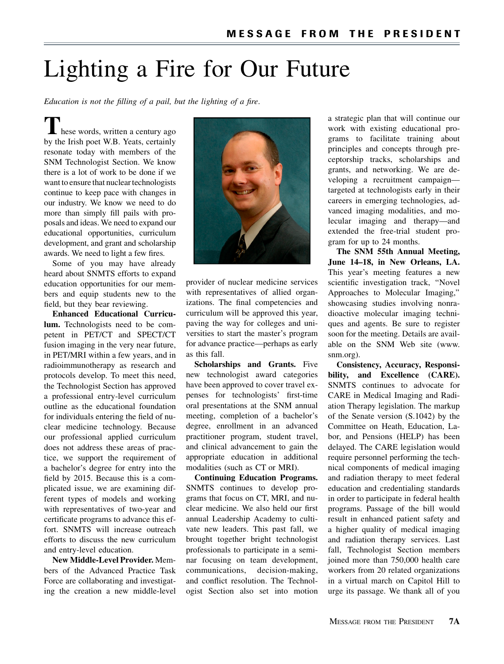## Lighting a Fire for Our Future

Education is not the filling of a pail, but the lighting of a fire.

 $\mathsf{L}\,$  hese words, written a century ago by the Irish poet W.B. Yeats, certainly resonate today with members of the SNM Technologist Section. We know there is a lot of work to be done if we want to ensure that nuclear technologists continue to keep pace with changes in our industry. We know we need to do more than simply fill pails with proposals and ideas. We need to expand our educational opportunities, curriculum development, and grant and scholarship awards. We need to light a few fires.

Some of you may have already heard about SNMTS efforts to expand education opportunities for our members and equip students new to the field, but they bear reviewing.

Enhanced Educational Curriculum. Technologists need to be competent in PET/CT and SPECT/CT fusion imaging in the very near future, in PET/MRI within a few years, and in radioimmunotherapy as research and protocols develop. To meet this need, the Technologist Section has approved a professional entry-level curriculum outline as the educational foundation for individuals entering the field of nuclear medicine technology. Because our professional applied curriculum does not address these areas of practice, we support the requirement of a bachelor's degree for entry into the field by 2015. Because this is a complicated issue, we are examining different types of models and working with representatives of two-year and certificate programs to advance this effort. SNMTS will increase outreach efforts to discuss the new curriculum and entry-level education.

New Middle-Level Provider. Members of the Advanced Practice Task Force are collaborating and investigating the creation a new middle-level



provider of nuclear medicine services with representatives of allied organizations. The final competencies and curriculum will be approved this year, paving the way for colleges and universities to start the master's program for advance practice—perhaps as early as this fall.

Scholarships and Grants. Five new technologist award categories have been approved to cover travel expenses for technologists' first-time oral presentations at the SNM annual meeting, completion of a bachelor's degree, enrollment in an advanced practitioner program, student travel, and clinical advancement to gain the appropriate education in additional modalities (such as CT or MRI).

Continuing Education Programs. SNMTS continues to develop programs that focus on CT, MRI, and nuclear medicine. We also held our first annual Leadership Academy to cultivate new leaders. This past fall, we brought together bright technologist professionals to participate in a seminar focusing on team development, communications, decision-making, and conflict resolution. The Technologist Section also set into motion a strategic plan that will continue our work with existing educational programs to facilitate training about principles and concepts through preceptorship tracks, scholarships and grants, and networking. We are developing a recruitment campaign targeted at technologists early in their careers in emerging technologies, advanced imaging modalities, and molecular imaging and therapy—and extended the free-trial student program for up to 24 months.

The SNM 55th Annual Meeting, June 14–18, in New Orleans, LA. This year's meeting features a new scientific investigation track, ''Novel Approaches to Molecular Imaging,'' showcasing studies involving nonradioactive molecular imaging techniques and agents. Be sure to register soon for the meeting. Details are available on the SNM Web site (www. snm.org).

Consistency, Accuracy, Responsibility, and Excellence (CARE). SNMTS continues to advocate for CARE in Medical Imaging and Radiation Therapy legislation. The markup of the Senate version (S.1042) by the Committee on Heath, Education, Labor, and Pensions (HELP) has been delayed. The CARE legislation would require personnel performing the technical components of medical imaging and radiation therapy to meet federal education and credentialing standards in order to participate in federal health programs. Passage of the bill would result in enhanced patient safety and a higher quality of medical imaging and radiation therapy services. Last fall, Technologist Section members joined more than 750,000 health care workers from 20 related organizations in a virtual march on Capitol Hill to urge its passage. We thank all of you